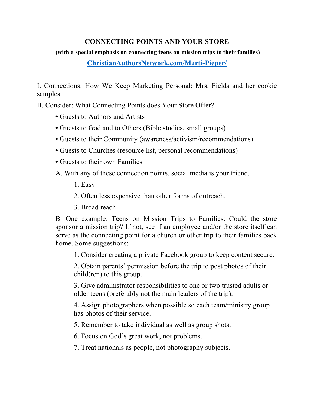## **CONNECTING POINTS AND YOUR STORE**

## **(with a special emphasis on connecting teens on mission trips to their families)**

**ChristianAuthorsNetwork.com/Marti-Pieper/**

I. Connections: How We Keep Marketing Personal: Mrs. Fields and her cookie samples

II. Consider: What Connecting Points does Your Store Offer?

- Guests to Authors and Artists
- Guests to God and to Others (Bible studies, small groups)
- Guests to their Community (awareness/activism/recommendations)
- Guests to Churches (resource list, personal recommendations)
- Guests to their own Families
- A. With any of these connection points, social media is your friend.
	- 1. Easy
	- 2. Often less expensive than other forms of outreach.
	- 3. Broad reach

B. One example: Teens on Mission Trips to Families: Could the store sponsor a mission trip? If not, see if an employee and/or the store itself can serve as the connecting point for a church or other trip to their families back home. Some suggestions:

1. Consider creating a private Facebook group to keep content secure.

2. Obtain parents' permission before the trip to post photos of their child(ren) to this group.

3. Give administrator responsibilities to one or two trusted adults or older teens (preferably not the main leaders of the trip).

4. Assign photographers when possible so each team/ministry group has photos of their service.

5. Remember to take individual as well as group shots.

6. Focus on God's great work, not problems.

7. Treat nationals as people, not photography subjects.